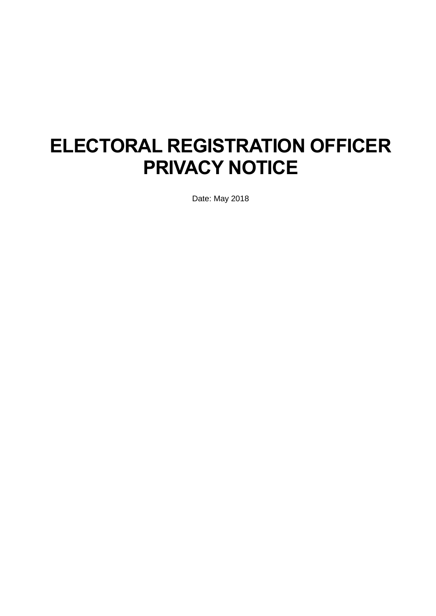# **ELECTORAL REGISTRATION OFFICER PRIVACY NOTICE**

Date: May 2018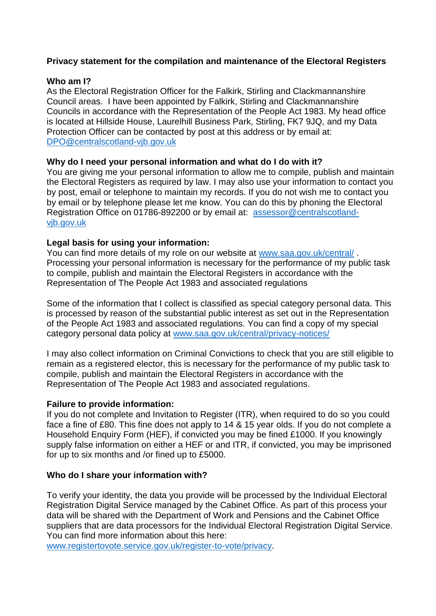## **Privacy statement for the compilation and maintenance of the Electoral Registers**

### **Who am I?**

As the Electoral Registration Officer for the Falkirk, Stirling and Clackmannanshire Council areas. I have been appointed by Falkirk, Stirling and Clackmannanshire Councils in accordance with the Representation of the People Act 1983. My head office is located at Hillside House, Laurelhill Business Park, Stirling, FK7 9JQ, and my Data Protection Officer can be contacted by post at this address or by email at: [DPO@centralscotland-vjb.gov.uk](mailto:DPO@centralscotland-vjb.gov.uk)

## **Why do I need your personal information and what do I do with it?**

You are giving me your personal information to allow me to compile, publish and maintain the Electoral Registers as required by law. I may also use your information to contact you by post, email or telephone to maintain my records. If you do not wish me to contact you by email or by telephone please let me know. You can do this by phoning the Electoral Registration Office on 01786-892200 or by email at: [assessor@centralscotland](mailto:assessor@centralscotland-vjb.gov.uk)[vjb.gov.uk](mailto:assessor@centralscotland-vjb.gov.uk)

## **Legal basis for using your information:**

You can find more details of my role on our website at [www.saa.gov.uk/central/](http://www.saa.gov.uk/central/) . Processing your personal information is necessary for the performance of my public task to compile, publish and maintain the Electoral Registers in accordance with the Representation of The People Act 1983 and associated regulations

Some of the information that I collect is classified as special category personal data. This is processed by reason of the substantial public interest as set out in the Representation of the People Act 1983 and associated regulations. You can find a copy of my special category personal data policy at [www.saa.gov.uk/central/privacy-notices/](http://www.saa.gov.uk/central/privacy-notices/)

I may also collect information on Criminal Convictions to check that you are still eligible to remain as a registered elector, this is necessary for the performance of my public task to compile, publish and maintain the Electoral Registers in accordance with the Representation of The People Act 1983 and associated regulations.

## **Failure to provide information:**

If you do not complete and Invitation to Register (ITR), when required to do so you could face a fine of £80. This fine does not apply to 14 & 15 year olds. If you do not complete a Household Enquiry Form (HEF), if convicted you may be fined £1000. If you knowingly supply false information on either a HEF or and ITR, if convicted, you may be imprisoned for up to six months and /or fined up to £5000.

# **Who do I share your information with?**

To verify your identity, the data you provide will be processed by the Individual Electoral Registration Digital Service managed by the Cabinet Office. As part of this process your data will be shared with the Department of Work and Pensions and the Cabinet Office suppliers that are data processors for the Individual Electoral Registration Digital Service. You can find more information about this here:

[www.registertovote.service.gov.uk/register-to-vote/privacy.](http://www.registertovote.service.gov.uk/register-to-vote/privacy)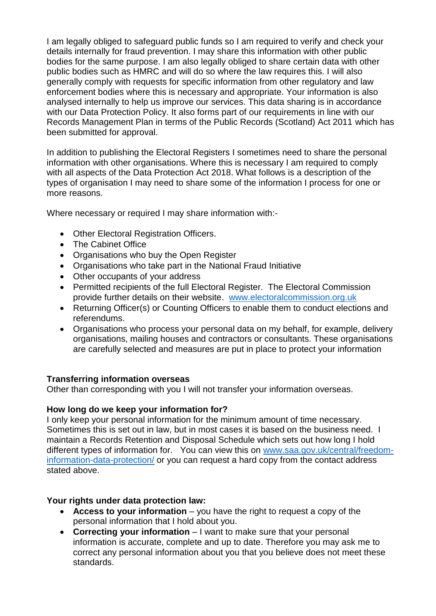I am legally obliged to safeguard public funds so I am required to verify and check your details internally for fraud prevention. I may share this information with other public bodies for the same purpose. I am also legally obliged to share certain data with other public bodies such as HMRC and will do so where the law requires this. I will also generally comply with requests for specific information from other regulatory and law enforcement bodies where this is necessary and appropriate. Your information is also analysed internally to help us improve our services. This data sharing is in accordance with our Data Protection Policy. It also forms part of our requirements in line with our Records Management Plan in terms of the Public Records (Scotland) Act 2011 which has been submitted for approval.

In addition to publishing the Electoral Registers I sometimes need to share the personal information with other organisations. Where this is necessary I am required to comply with all aspects of the Data Protection Act 2018. What follows is a description of the types of organisation I may need to share some of the information I process for one or more reasons.

Where necessary or required I may share information with:-

- Other Electoral Registration Officers.
- The Cabinet Office
- Organisations who buy the Open Register
- Organisations who take part in the National Fraud Initiative
- Other occupants of your address
- Permitted recipients of the full Electoral Register. The Electoral Commission provide further details on their website. [www.electoralcommission.org.uk](http://www.electoralcommission.org.uk/)
- Returning Officer(s) or Counting Officers to enable them to conduct elections and referendums.
- Organisations who process your personal data on my behalf, for example, delivery organisations, mailing houses and contractors or consultants. These organisations are carefully selected and measures are put in place to protect your information

# **Transferring information overseas**

Other than corresponding with you I will not transfer your information overseas.

# **How long do we keep your information for?**

I only keep your personal information for the minimum amount of time necessary. Sometimes this is set out in law, but in most cases it is based on the business need. I maintain a Records Retention and Disposal Schedule which sets out how long I hold different types of information for. You can view this on [www.saa.gov.uk/central/freedom](http://www.saa.gov.uk/central/freedom-information-data-protection/)[information-data-protection/](http://www.saa.gov.uk/central/freedom-information-data-protection/) or you can request a hard copy from the contact address stated above.

# **Your rights under data protection law:**

- **Access to your information** you have the right to request a copy of the personal information that I hold about you.
- **Correcting your information** I want to make sure that your personal information is accurate, complete and up to date. Therefore you may ask me to correct any personal information about you that you believe does not meet these standards.